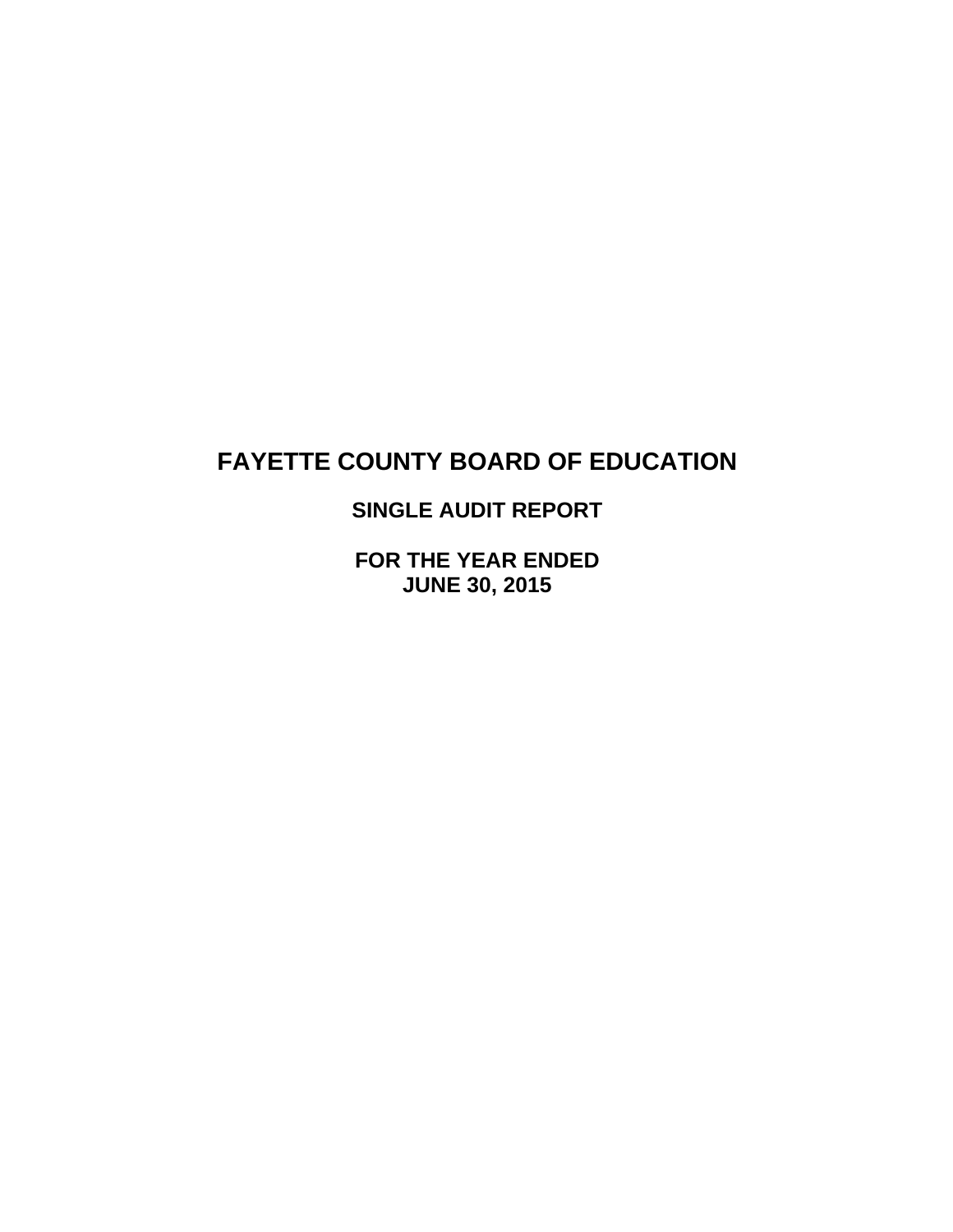**SINGLE AUDIT REPORT** 

**FOR THE YEAR ENDED JUNE 30, 2015**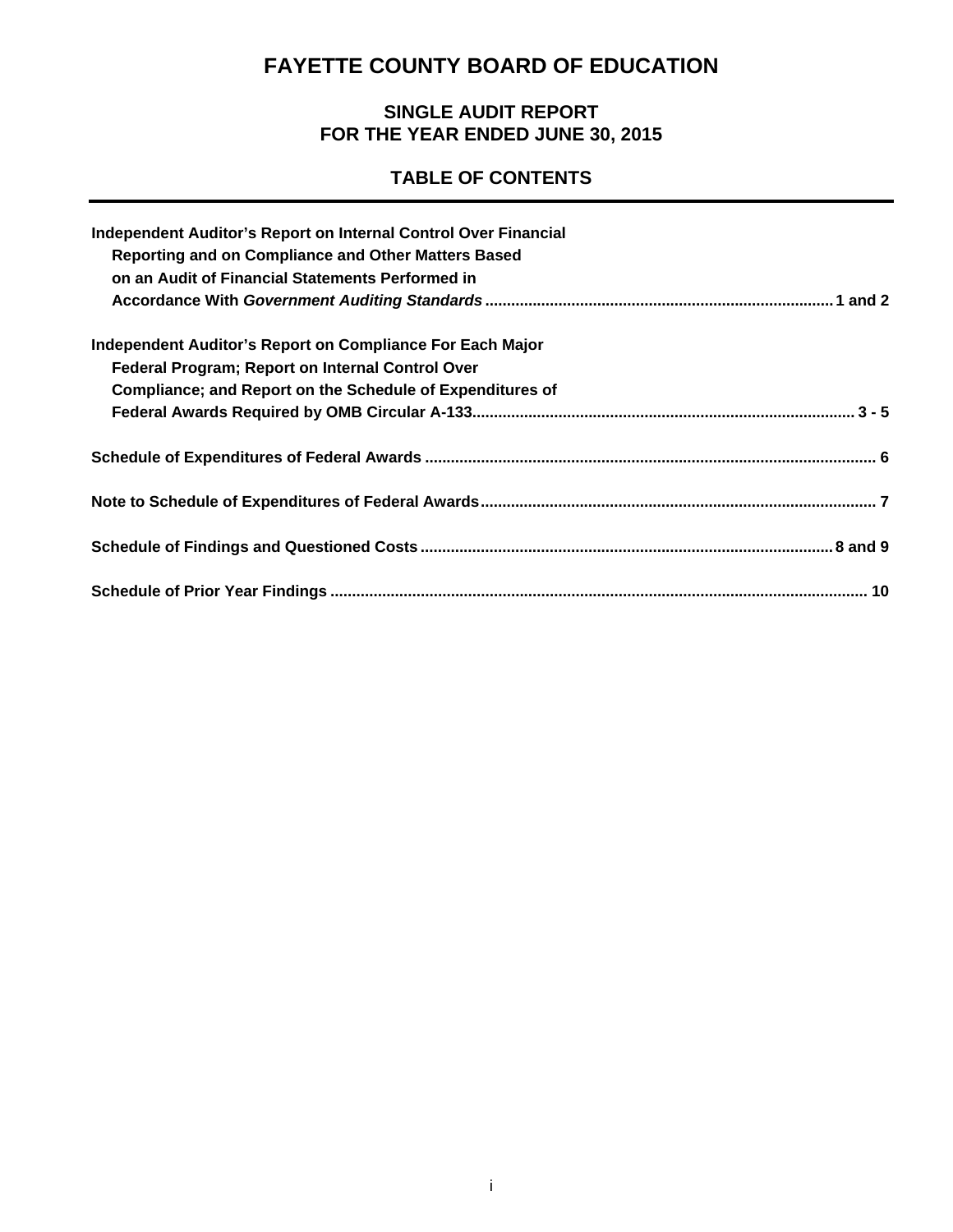### **SINGLE AUDIT REPORT FOR THE YEAR ENDED JUNE 30, 2015**

### **TABLE OF CONTENTS**

| Independent Auditor's Report on Internal Control Over Financial<br>Reporting and on Compliance and Other Matters Based<br>on an Audit of Financial Statements Performed in |
|----------------------------------------------------------------------------------------------------------------------------------------------------------------------------|
| Independent Auditor's Report on Compliance For Each Major                                                                                                                  |
| <b>Federal Program; Report on Internal Control Over</b>                                                                                                                    |
| Compliance; and Report on the Schedule of Expenditures of                                                                                                                  |
|                                                                                                                                                                            |
|                                                                                                                                                                            |
|                                                                                                                                                                            |
|                                                                                                                                                                            |
|                                                                                                                                                                            |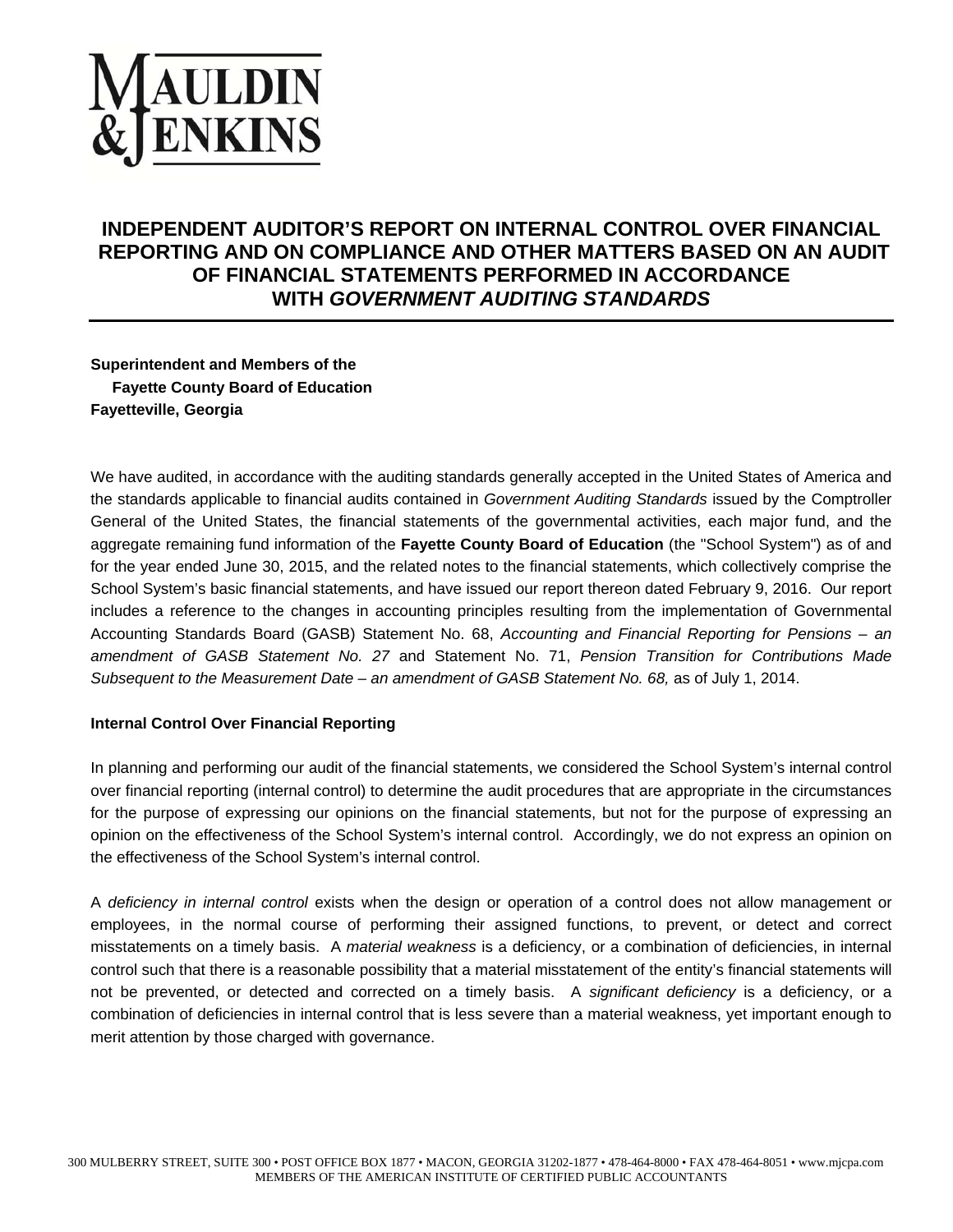

### **INDEPENDENT AUDITOR'S REPORT ON INTERNAL CONTROL OVER FINANCIAL REPORTING AND ON COMPLIANCE AND OTHER MATTERS BASED ON AN AUDIT OF FINANCIAL STATEMENTS PERFORMED IN ACCORDANCE WITH** *GOVERNMENT AUDITING STANDARDS*

**Superintendent and Members of the Fayette County Board of Education Fayetteville, Georgia** 

We have audited, in accordance with the auditing standards generally accepted in the United States of America and the standards applicable to financial audits contained in *Government Auditing Standards* issued by the Comptroller General of the United States, the financial statements of the governmental activities, each major fund, and the aggregate remaining fund information of the **Fayette County Board of Education** (the "School System") as of and for the year ended June 30, 2015, and the related notes to the financial statements, which collectively comprise the School System's basic financial statements, and have issued our report thereon dated February 9, 2016. Our report includes a reference to the changes in accounting principles resulting from the implementation of Governmental Accounting Standards Board (GASB) Statement No. 68, *Accounting and Financial Reporting for Pensions – an amendment of GASB Statement No. 27* and Statement No. 71, *Pension Transition for Contributions Made*  Subsequent to the Measurement Date – an amendment of GASB Statement No. 68, as of July 1, 2014.

#### **Internal Control Over Financial Reporting**

In planning and performing our audit of the financial statements, we considered the School System's internal control over financial reporting (internal control) to determine the audit procedures that are appropriate in the circumstances for the purpose of expressing our opinions on the financial statements, but not for the purpose of expressing an opinion on the effectiveness of the School System's internal control. Accordingly, we do not express an opinion on the effectiveness of the School System's internal control.

A *deficiency in internal control* exists when the design or operation of a control does not allow management or employees, in the normal course of performing their assigned functions, to prevent, or detect and correct misstatements on a timely basis. A *material weakness* is a deficiency, or a combination of deficiencies, in internal control such that there is a reasonable possibility that a material misstatement of the entity's financial statements will not be prevented, or detected and corrected on a timely basis. A *significant deficiency* is a deficiency, or a combination of deficiencies in internal control that is less severe than a material weakness, yet important enough to merit attention by those charged with governance.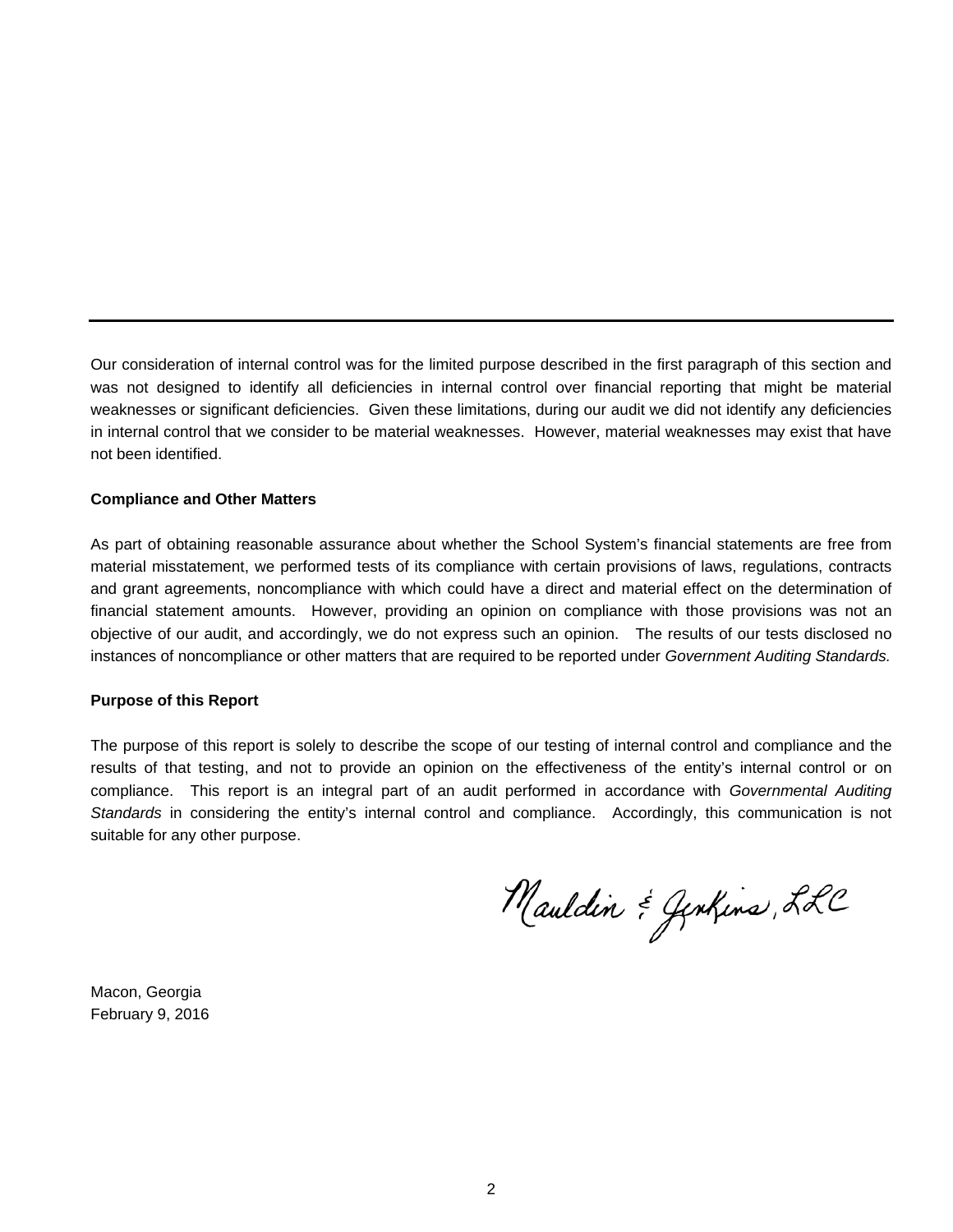Our consideration of internal control was for the limited purpose described in the first paragraph of this section and was not designed to identify all deficiencies in internal control over financial reporting that might be material weaknesses or significant deficiencies. Given these limitations, during our audit we did not identify any deficiencies in internal control that we consider to be material weaknesses. However, material weaknesses may exist that have not been identified.

#### **Compliance and Other Matters**

As part of obtaining reasonable assurance about whether the School System's financial statements are free from material misstatement, we performed tests of its compliance with certain provisions of laws, regulations, contracts and grant agreements, noncompliance with which could have a direct and material effect on the determination of financial statement amounts. However, providing an opinion on compliance with those provisions was not an objective of our audit, and accordingly, we do not express such an opinion. The results of our tests disclosed no instances of noncompliance or other matters that are required to be reported under *Government Auditing Standards.* 

#### **Purpose of this Report**

The purpose of this report is solely to describe the scope of our testing of internal control and compliance and the results of that testing, and not to provide an opinion on the effectiveness of the entity's internal control or on compliance. This report is an integral part of an audit performed in accordance with *Governmental Auditing Standards* in considering the entity's internal control and compliance. Accordingly, this communication is not suitable for any other purpose.

Mauldin & Genhins, LLC

Macon, Georgia February 9, 2016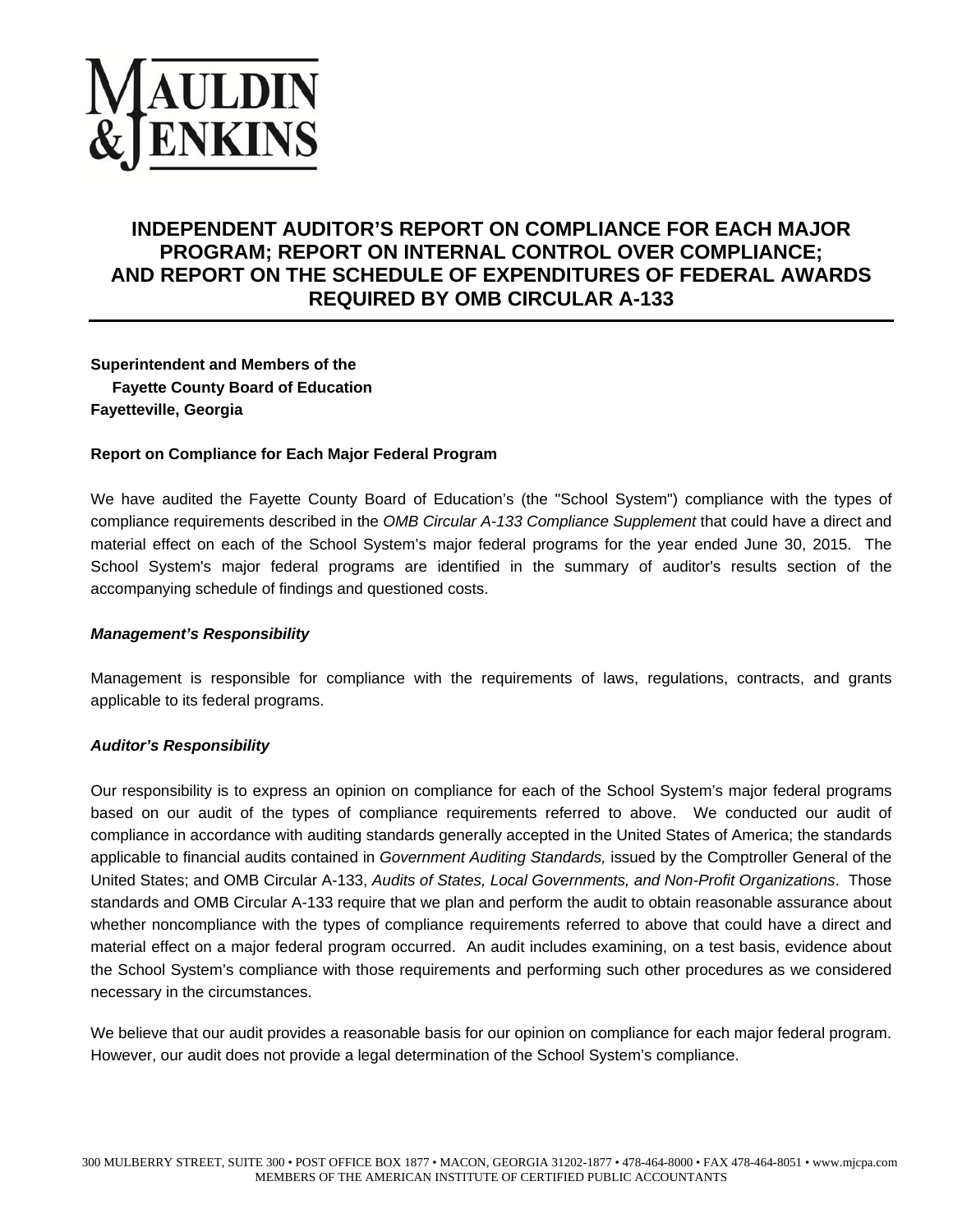

### **INDEPENDENT AUDITOR'S REPORT ON COMPLIANCE FOR EACH MAJOR PROGRAM; REPORT ON INTERNAL CONTROL OVER COMPLIANCE; AND REPORT ON THE SCHEDULE OF EXPENDITURES OF FEDERAL AWARDS REQUIRED BY OMB CIRCULAR A-133**

**Superintendent and Members of the Fayette County Board of Education Fayetteville, Georgia** 

#### **Report on Compliance for Each Major Federal Program**

We have audited the Fayette County Board of Education's (the "School System") compliance with the types of compliance requirements described in the *OMB Circular A-133 Compliance Supplement* that could have a direct and material effect on each of the School System's major federal programs for the year ended June 30, 2015. The School System's major federal programs are identified in the summary of auditor's results section of the accompanying schedule of findings and questioned costs.

#### *Management's Responsibility*

Management is responsible for compliance with the requirements of laws, regulations, contracts, and grants applicable to its federal programs.

#### *Auditor's Responsibility*

Our responsibility is to express an opinion on compliance for each of the School System's major federal programs based on our audit of the types of compliance requirements referred to above. We conducted our audit of compliance in accordance with auditing standards generally accepted in the United States of America; the standards applicable to financial audits contained in *Government Auditing Standards,* issued by the Comptroller General of the United States; and OMB Circular A-133, *Audits of States, Local Governments, and Non-Profit Organizations*. Those standards and OMB Circular A-133 require that we plan and perform the audit to obtain reasonable assurance about whether noncompliance with the types of compliance requirements referred to above that could have a direct and material effect on a major federal program occurred. An audit includes examining, on a test basis, evidence about the School System's compliance with those requirements and performing such other procedures as we considered necessary in the circumstances.

We believe that our audit provides a reasonable basis for our opinion on compliance for each major federal program. However, our audit does not provide a legal determination of the School System's compliance.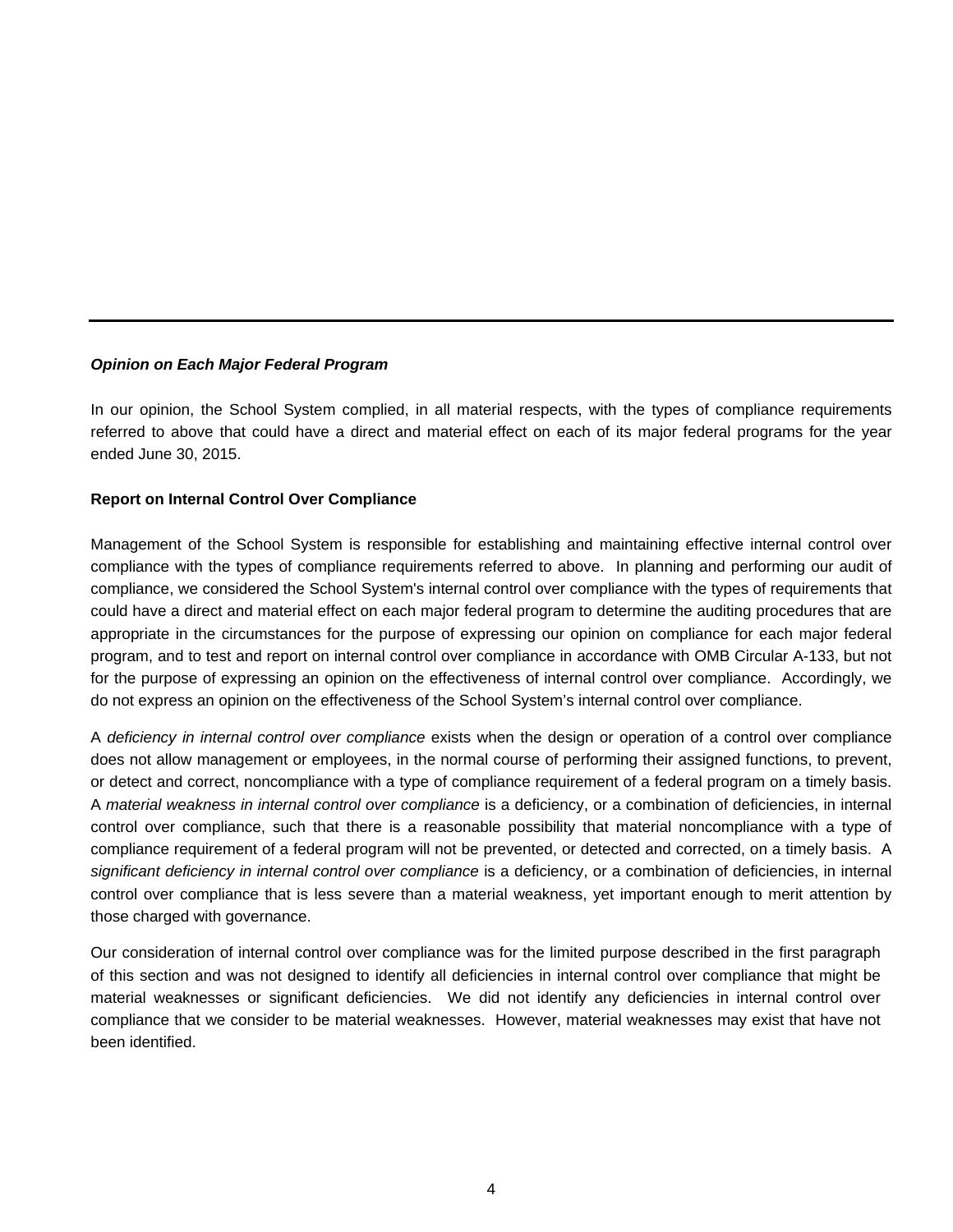#### *Opinion on Each Major Federal Program*

In our opinion, the School System complied, in all material respects, with the types of compliance requirements referred to above that could have a direct and material effect on each of its major federal programs for the year ended June 30, 2015.

#### **Report on Internal Control Over Compliance**

Management of the School System is responsible for establishing and maintaining effective internal control over compliance with the types of compliance requirements referred to above. In planning and performing our audit of compliance, we considered the School System's internal control over compliance with the types of requirements that could have a direct and material effect on each major federal program to determine the auditing procedures that are appropriate in the circumstances for the purpose of expressing our opinion on compliance for each major federal program, and to test and report on internal control over compliance in accordance with OMB Circular A-133, but not for the purpose of expressing an opinion on the effectiveness of internal control over compliance. Accordingly, we do not express an opinion on the effectiveness of the School System's internal control over compliance.

A *deficiency in internal control over compliance* exists when the design or operation of a control over compliance does not allow management or employees, in the normal course of performing their assigned functions, to prevent, or detect and correct, noncompliance with a type of compliance requirement of a federal program on a timely basis. A *material weakness in internal control over compliance* is a deficiency, or a combination of deficiencies, in internal control over compliance, such that there is a reasonable possibility that material noncompliance with a type of compliance requirement of a federal program will not be prevented, or detected and corrected, on a timely basis. A *significant deficiency in internal control over compliance* is a deficiency, or a combination of deficiencies, in internal control over compliance that is less severe than a material weakness, yet important enough to merit attention by those charged with governance.

Our consideration of internal control over compliance was for the limited purpose described in the first paragraph of this section and was not designed to identify all deficiencies in internal control over compliance that might be material weaknesses or significant deficiencies. We did not identify any deficiencies in internal control over compliance that we consider to be material weaknesses. However, material weaknesses may exist that have not been identified.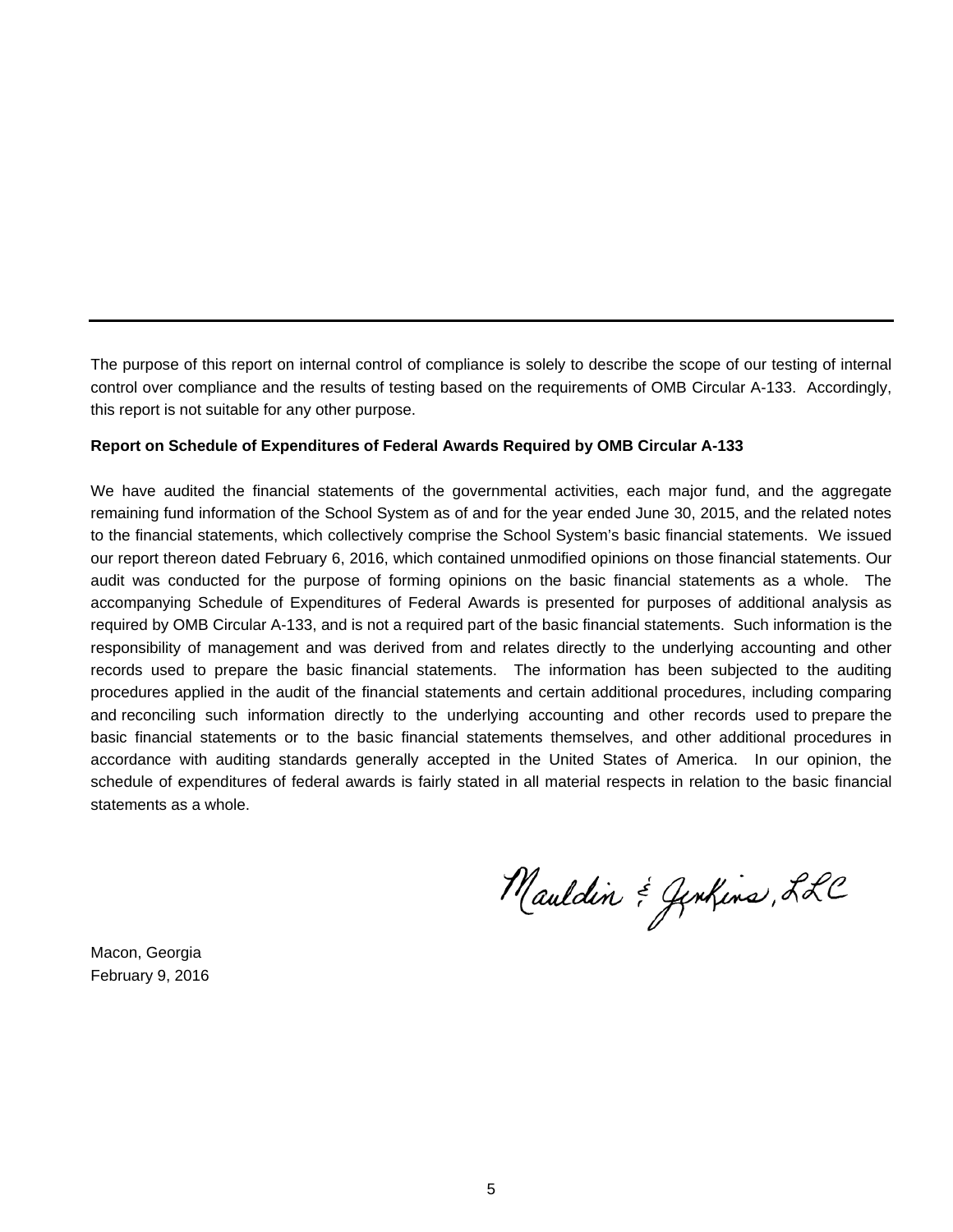The purpose of this report on internal control of compliance is solely to describe the scope of our testing of internal control over compliance and the results of testing based on the requirements of OMB Circular A-133. Accordingly, this report is not suitable for any other purpose.

#### **Report on Schedule of Expenditures of Federal Awards Required by OMB Circular A-133**

We have audited the financial statements of the governmental activities, each major fund, and the aggregate remaining fund information of the School System as of and for the year ended June 30, 2015, and the related notes to the financial statements, which collectively comprise the School System's basic financial statements. We issued our report thereon dated February 6, 2016, which contained unmodified opinions on those financial statements. Our audit was conducted for the purpose of forming opinions on the basic financial statements as a whole. The accompanying Schedule of Expenditures of Federal Awards is presented for purposes of additional analysis as required by OMB Circular A-133, and is not a required part of the basic financial statements. Such information is the responsibility of management and was derived from and relates directly to the underlying accounting and other records used to prepare the basic financial statements. The information has been subjected to the auditing procedures applied in the audit of the financial statements and certain additional procedures, including comparing and reconciling such information directly to the underlying accounting and other records used to prepare the basic financial statements or to the basic financial statements themselves, and other additional procedures in accordance with auditing standards generally accepted in the United States of America. In our opinion, the schedule of expenditures of federal awards is fairly stated in all material respects in relation to the basic financial statements as a whole.

Mauldin & Genhins, LLC

Macon, Georgia February 9, 2016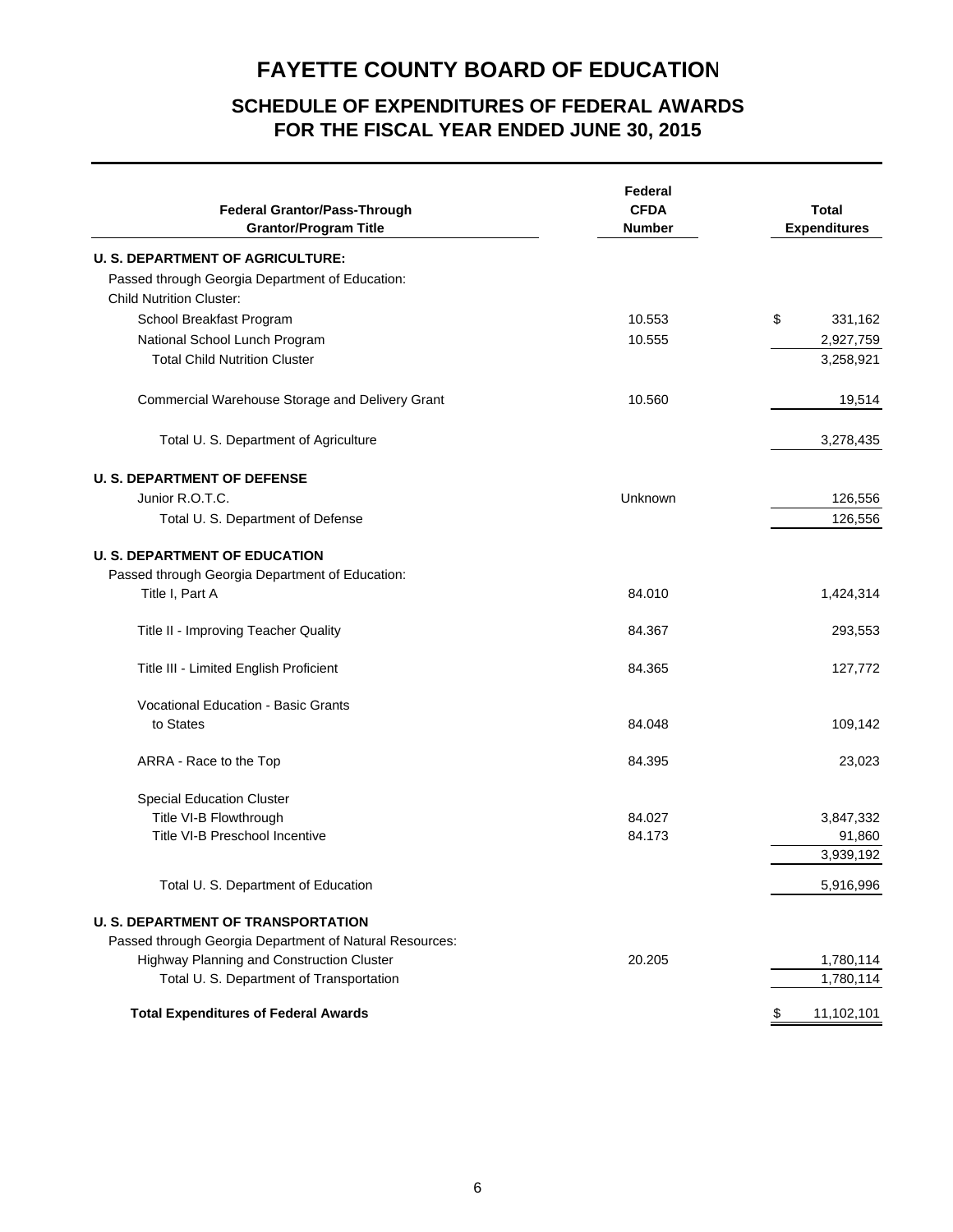### **SCHEDULE OF EXPENDITURES OF FEDERAL AWARDS FOR THE FISCAL YEAR ENDED JUNE 30, 2015**

| <b>Federal Grantor/Pass-Through</b><br><b>Grantor/Program Title</b> | Federal<br><b>CFDA</b><br><b>Number</b> | <b>Total</b><br><b>Expenditures</b> |
|---------------------------------------------------------------------|-----------------------------------------|-------------------------------------|
| <b>U. S. DEPARTMENT OF AGRICULTURE:</b>                             |                                         |                                     |
| Passed through Georgia Department of Education:                     |                                         |                                     |
| <b>Child Nutrition Cluster:</b>                                     |                                         |                                     |
| School Breakfast Program                                            | 10.553                                  | \$<br>331,162                       |
| National School Lunch Program                                       | 10.555                                  | 2,927,759                           |
| <b>Total Child Nutrition Cluster</b>                                |                                         | 3,258,921                           |
| Commercial Warehouse Storage and Delivery Grant                     | 10.560                                  | 19,514                              |
| Total U. S. Department of Agriculture                               |                                         | 3,278,435                           |
| <b>U. S. DEPARTMENT OF DEFENSE</b>                                  |                                         |                                     |
| Junior R.O.T.C.                                                     | Unknown                                 | 126,556                             |
| Total U. S. Department of Defense                                   |                                         | 126,556                             |
| <b>U. S. DEPARTMENT OF EDUCATION</b>                                |                                         |                                     |
| Passed through Georgia Department of Education:                     |                                         |                                     |
| Title I, Part A                                                     | 84.010                                  | 1,424,314                           |
| Title II - Improving Teacher Quality                                | 84.367                                  | 293,553                             |
| Title III - Limited English Proficient                              | 84.365                                  | 127,772                             |
| <b>Vocational Education - Basic Grants</b>                          |                                         |                                     |
| to States                                                           | 84.048                                  | 109,142                             |
| ARRA - Race to the Top                                              | 84.395                                  | 23,023                              |
| <b>Special Education Cluster</b>                                    |                                         |                                     |
| Title VI-B Flowthrough                                              | 84.027                                  | 3,847,332                           |
| Title VI-B Preschool Incentive                                      | 84.173                                  | 91,860                              |
|                                                                     |                                         | 3,939,192                           |
| Total U. S. Department of Education                                 |                                         | 5,916,996                           |
| <b>U. S. DEPARTMENT OF TRANSPORTATION</b>                           |                                         |                                     |
| Passed through Georgia Department of Natural Resources:             |                                         |                                     |
| <b>Highway Planning and Construction Cluster</b>                    | 20.205                                  | 1,780,114                           |
| Total U. S. Department of Transportation                            |                                         | 1,780,114                           |
| <b>Total Expenditures of Federal Awards</b>                         |                                         | 11,102,101<br>\$                    |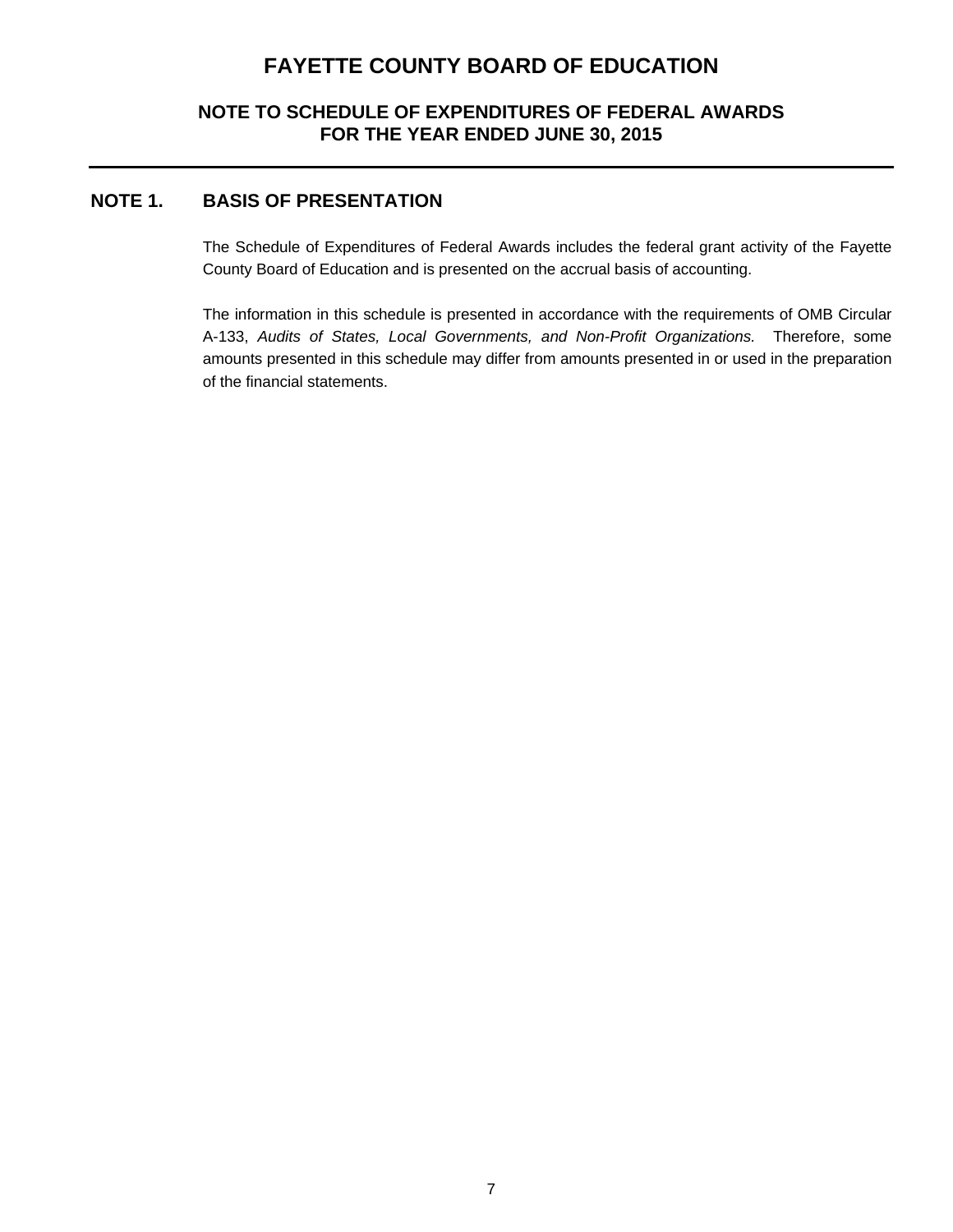### **NOTE TO SCHEDULE OF EXPENDITURES OF FEDERAL AWARDS FOR THE YEAR ENDED JUNE 30, 2015**

### **NOTE 1. BASIS OF PRESENTATION**

The Schedule of Expenditures of Federal Awards includes the federal grant activity of the Fayette County Board of Education and is presented on the accrual basis of accounting.

The information in this schedule is presented in accordance with the requirements of OMB Circular A-133, *Audits of States, Local Governments, and Non-Profit Organizations.* Therefore, some amounts presented in this schedule may differ from amounts presented in or used in the preparation of the financial statements.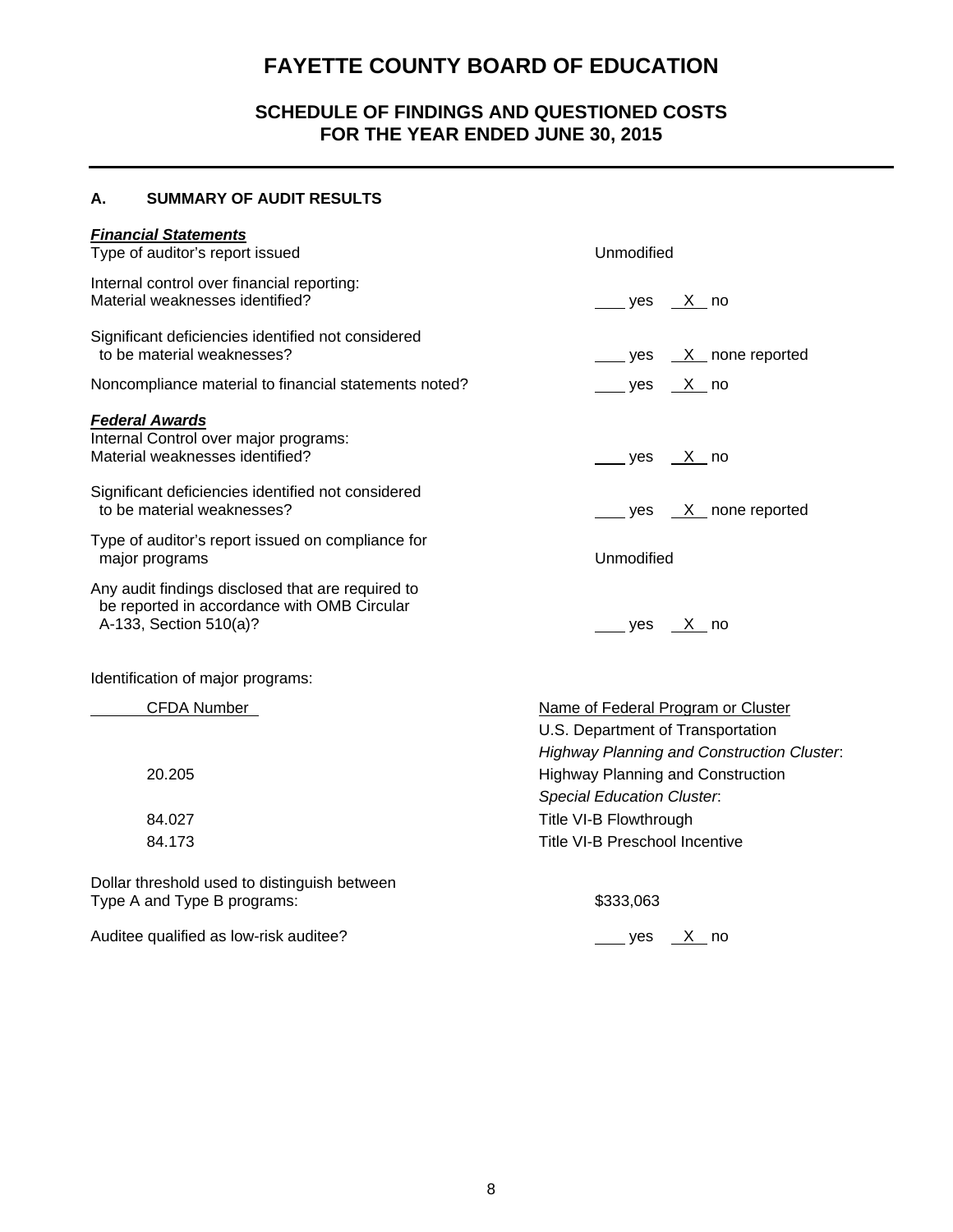### **SCHEDULE OF FINDINGS AND QUESTIONED COSTS FOR THE YEAR ENDED JUNE 30, 2015**

### **A. SUMMARY OF AUDIT RESULTS**

| <b>Financial Statements</b>                                                                                                |                                                                                                                              |  |
|----------------------------------------------------------------------------------------------------------------------------|------------------------------------------------------------------------------------------------------------------------------|--|
| Type of auditor's report issued                                                                                            | Unmodified                                                                                                                   |  |
| Internal control over financial reporting:<br>Material weaknesses identified?                                              | $yes$ X no                                                                                                                   |  |
| Significant deficiencies identified not considered<br>to be material weaknesses?                                           | yes X none reported                                                                                                          |  |
| Noncompliance material to financial statements noted?                                                                      | _____ yes ___ <u>X__</u> no                                                                                                  |  |
| <b>Federal Awards</b><br>Internal Control over major programs:<br>Material weaknesses identified?                          | _____ yes ___ <u>X__</u> no                                                                                                  |  |
| Significant deficiencies identified not considered<br>to be material weaknesses?                                           | yes X none reported                                                                                                          |  |
| Type of auditor's report issued on compliance for<br>major programs                                                        | Unmodified                                                                                                                   |  |
| Any audit findings disclosed that are required to<br>be reported in accordance with OMB Circular<br>A-133, Section 510(a)? | _yes __X_no                                                                                                                  |  |
| Identification of major programs:                                                                                          |                                                                                                                              |  |
| <b>CFDA Number</b>                                                                                                         | Name of Federal Program or Cluster<br>U.S. Department of Transportation<br><b>Highway Planning and Construction Cluster.</b> |  |
| 20.205                                                                                                                     | <b>Highway Planning and Construction</b><br><b>Special Education Cluster.</b>                                                |  |
| 84.027                                                                                                                     | Title VI-B Flowthrough                                                                                                       |  |
| 84.173                                                                                                                     | <b>Title VI-B Preschool Incentive</b>                                                                                        |  |
| Dollar threshold used to distinguish between                                                                               |                                                                                                                              |  |
| Type A and Type B programs:                                                                                                | \$333,063                                                                                                                    |  |

Auditee qualified as low-risk auditee?  $\frac{1}{2}$  yes  $\frac{X}{X}$  no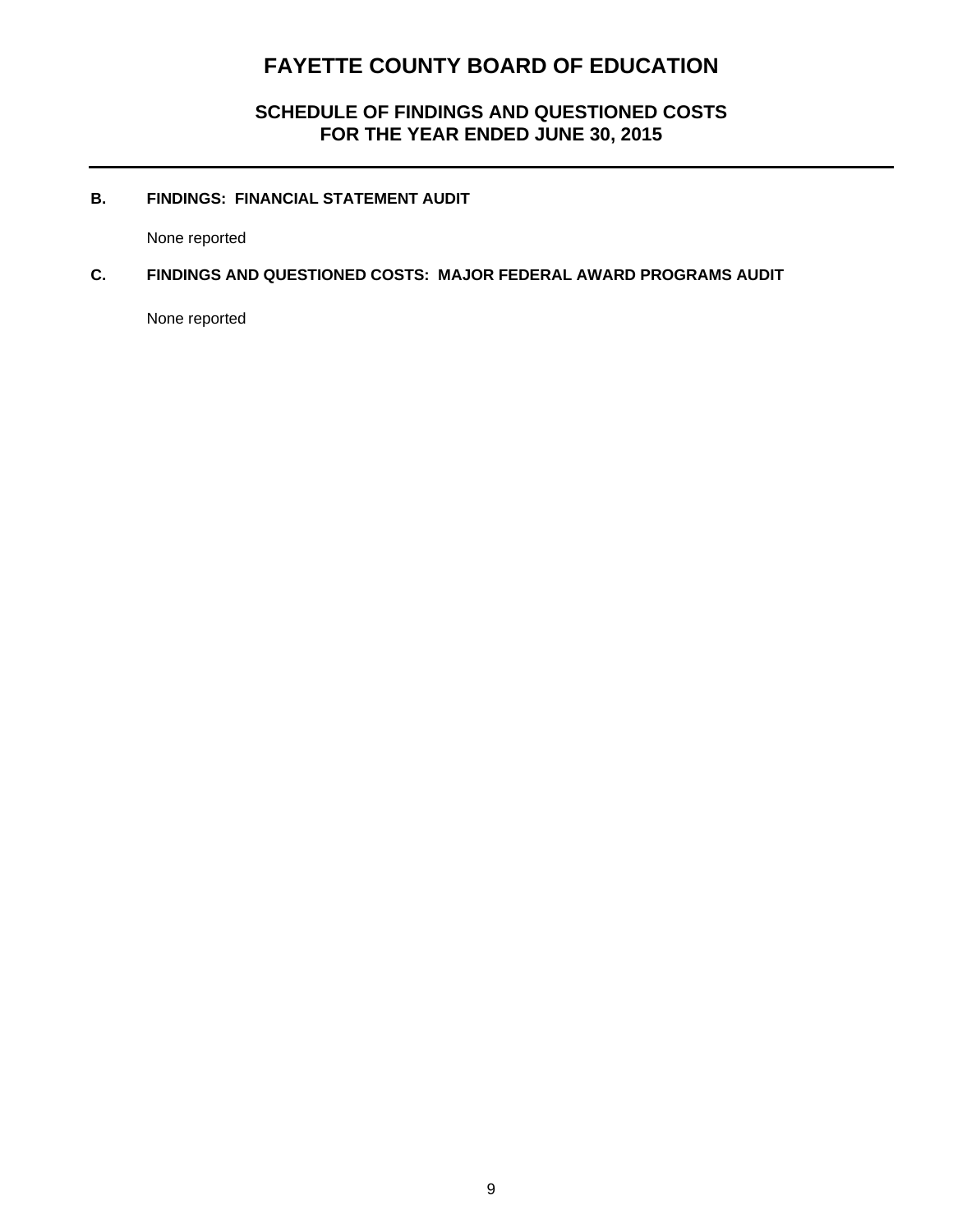### **SCHEDULE OF FINDINGS AND QUESTIONED COSTS FOR THE YEAR ENDED JUNE 30, 2015**

### **B. FINDINGS: FINANCIAL STATEMENT AUDIT**

None reported

#### **C. FINDINGS AND QUESTIONED COSTS: MAJOR FEDERAL AWARD PROGRAMS AUDIT**

None reported